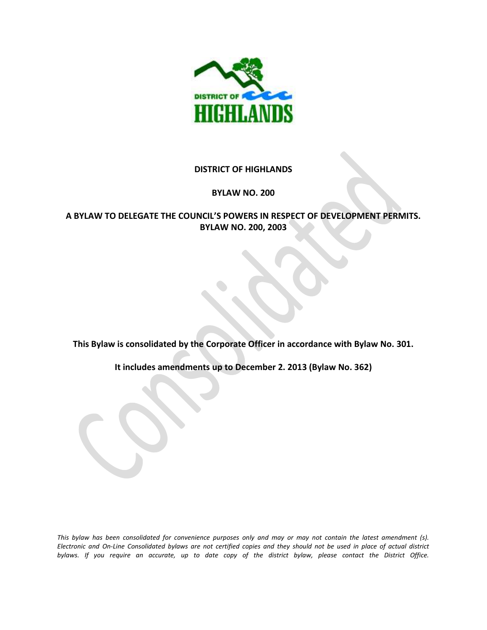

#### **DISTRICT OF HIGHLANDS**

#### **BYLAW NO. 200**

### **A BYLAW TO DELEGATE THE COUNCIL'S POWERS IN RESPECT OF DEVELOPMENT PERMITS. BYLAW NO. 200, 2003**

**This Bylaw is consolidated by the Corporate Officer in accordance with Bylaw No. 301.** 

**It includes amendments up to December 2. 2013 (Bylaw No. 362)**

*This bylaw has been consolidated for convenience purposes only and may or may not contain the latest amendment (s). Electronic and On-Line Consolidated bylaws are not certified copies and they should not be used in place of actual district bylaws. If you require an accurate, up to date copy of the district bylaw, please contact the District Office.*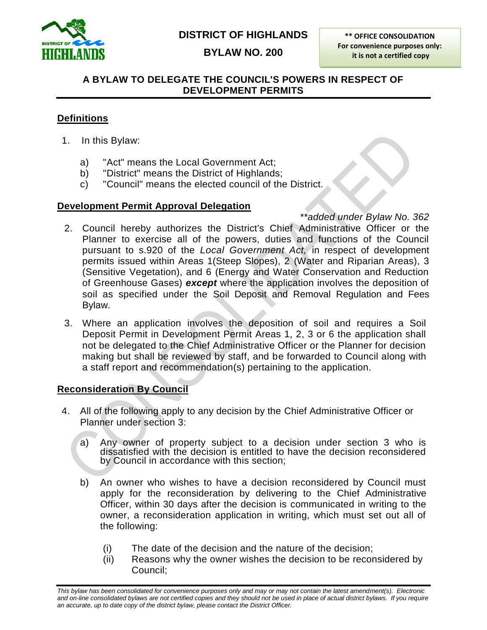

# **DISTRICT OF HIGHLANDS**

**BYLAW NO. 200**

**\*\* OFFICE CONSOLIDATION For convenience purposes only: it is not a certified copy**

### **A BYLAW TO DELEGATE THE COUNCIL'S POWERS IN RESPECT OF DEVELOPMENT PERMITS**

### **Definitions**

- 1. In this Bylaw:
	- a) "Act" means the Local Government Act;
	- b) "District" means the District of Highlands;
	- c) "Council" means the elected council of the District.

### **Development Permit Approval Delegation**

- *\*\*added under Bylaw No. 362* 2. Council hereby authorizes the District's Chief Administrative Officer or the Planner to exercise all of the powers, duties and functions of the Council pursuant to s.920 of the *Local Government Act,* in respect of development permits issued within Areas 1(Steep Slopes), 2 (Water and Riparian Areas), 3 (Sensitive Vegetation), and 6 (Energy and Water Conservation and Reduction of Greenhouse Gases) *except* where the application involves the deposition of soil as specified under the Soil Deposit and Removal Regulation and Fees Bylaw.
- 3. Where an application involves the deposition of soil and requires a Soil Deposit Permit in Development Permit Areas 1, 2, 3 or 6 the application shall not be delegated to the Chief Administrative Officer or the Planner for decision making but shall be reviewed by staff, and be forwarded to Council along with a staff report and recommendation(s) pertaining to the application.

### **Reconsideration By Council**

- 4. All of the following apply to any decision by the Chief Administrative Officer or Planner under section 3:
	- a) Any owner of property subject to a decision under section 3 who is dissatisfied with the decision is entitled to have the decision reconsidered by Council in accordance with this section;
	- b) An owner who wishes to have a decision reconsidered by Council must apply for the reconsideration by delivering to the Chief Administrative Officer, within 30 days after the decision is communicated in writing to the owner, a reconsideration application in writing, which must set out all of the following:
		- (i) The date of the decision and the nature of the decision;
		- (ii) Reasons why the owner wishes the decision to be reconsidered by Council;

*This bylaw has been consolidated for convenience purposes only and may or may not contain the latest amendment(s). Electronic*  and on-line consolidated bylaws are not certified copies and they should not be used in place of actual district bylaws. If you require *an accurate, up to date copy of the district bylaw, please contact the District Officer.*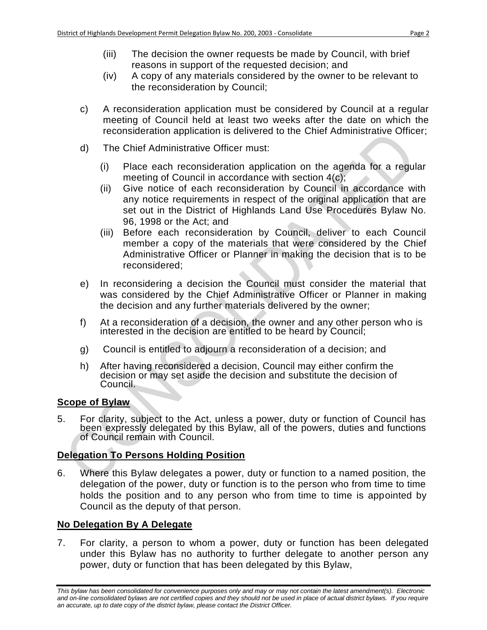- (iv) A copy of any materials considered by the owner to be relevant to the reconsideration by Council;
- c) A reconsideration application must be considered by Council at a regular meeting of Council held at least two weeks after the date on which the reconsideration application is delivered to the Chief Administrative Officer;
- d) The Chief Administrative Officer must:
	- (i) Place each reconsideration application on the agenda for a regular meeting of Council in accordance with section 4(c);
	- (ii) Give notice of each reconsideration by Council in accordance with any notice requirements in respect of the original application that are set out in the District of Highlands Land Use Procedures Bylaw No. 96, 1998 or the Act; and
	- (iii) Before each reconsideration by Council, deliver to each Council member a copy of the materials that were considered by the Chief Administrative Officer or Planner in making the decision that is to be reconsidered;
- e) In reconsidering a decision the Council must consider the material that was considered by the Chief Administrative Officer or Planner in making the decision and any further materials delivered by the owner;
- f) At a reconsideration of a decision, the owner and any other person who is interested in the decision are entitled to be heard by Council;
- g) Council is entitled to adjourn a reconsideration of a decision; and
- h) After having reconsidered a decision, Council may either confirm the decision or may set aside the decision and substitute the decision of Council.

### **Scope of Bylaw**

5. For clarity, subject to the Act, unless a power, duty or function of Council has been expressly delegated by this Bylaw, all of the powers, duties and functions of Council remain with Council.

# **Delegation To Persons Holding Position**

6. Where this Bylaw delegates a power, duty or function to a named position, the delegation of the power, duty or function is to the person who from time to time holds the position and to any person who from time to time is appointed by Council as the deputy of that person.

# **No Delegation By A Delegate**

7. For clarity, a person to whom a power, duty or function has been delegated under this Bylaw has no authority to further delegate to another person any power, duty or function that has been delegated by this Bylaw,

*This bylaw has been consolidated for convenience purposes only and may or may not contain the latest amendment(s). Electronic*  and on-line consolidated bylaws are not certified copies and they should not be used in place of actual district bylaws. If you require *an accurate, up to date copy of the district bylaw, please contact the District Officer.*